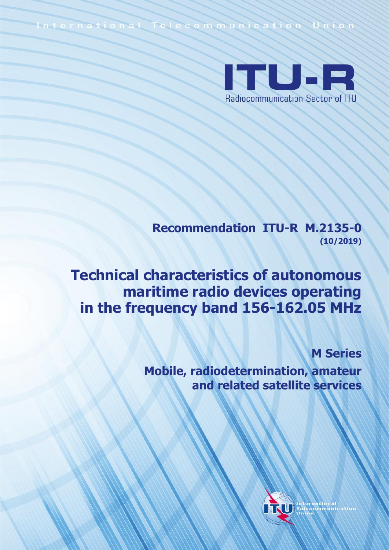International Telecommunication Union



**Recommendation ITU-R M.2135-0 (10/2019)**

**Technical characteristics of autonomous maritime radio devices operating in the frequency band 156-162.05 MHz**

**M Series**

**Mobile, radiodetermination, amateur and related satellite services**

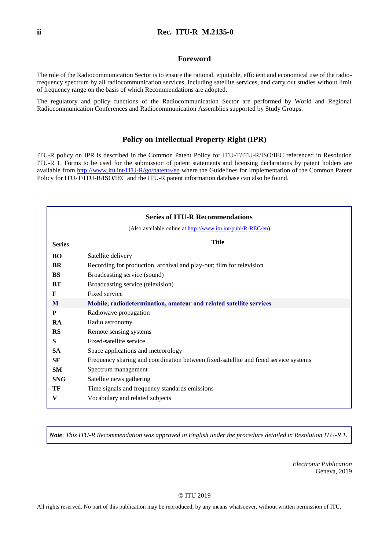#### **Foreword**

The role of the Radiocommunication Sector is to ensure the rational, equitable, efficient and economical use of the radiofrequency spectrum by all radiocommunication services, including satellite services, and carry out studies without limit of frequency range on the basis of which Recommendations are adopted.

The regulatory and policy functions of the Radiocommunication Sector are performed by World and Regional Radiocommunication Conferences and Radiocommunication Assemblies supported by Study Groups.

#### **Policy on Intellectual Property Right (IPR)**

ITU-R policy on IPR is described in the Common Patent Policy for ITU-T/ITU-R/ISO/IEC referenced in Resolution ITU-R 1. Forms to be used for the submission of patent statements and licensing declarations by patent holders are available from<http://www.itu.int/ITU-R/go/patents/en> where the Guidelines for Implementation of the Common Patent Policy for ITU-T/ITU-R/ISO/IEC and the ITU-R patent information database can also be found.

|               | <b>Series of ITU-R Recommendations</b>                                               |
|---------------|--------------------------------------------------------------------------------------|
|               | (Also available online at http://www.itu.int/publ/R-REC/en)                          |
| <b>Series</b> | <b>Title</b>                                                                         |
| <b>BO</b>     | Satellite delivery                                                                   |
| BR            | Recording for production, archival and play-out; film for television                 |
| <b>BS</b>     | Broadcasting service (sound)                                                         |
| <b>BT</b>     | Broadcasting service (television)                                                    |
| F             | Fixed service                                                                        |
| M             | Mobile, radiodetermination, amateur and related satellite services                   |
| P             | Radiowave propagation                                                                |
| RA            | Radio astronomy                                                                      |
| <b>RS</b>     | Remote sensing systems                                                               |
| S             | Fixed-satellite service                                                              |
| <b>SA</b>     | Space applications and meteorology                                                   |
| SF            | Frequency sharing and coordination between fixed-satellite and fixed service systems |
| <b>SM</b>     | Spectrum management                                                                  |
| <b>SNG</b>    | Satellite news gathering                                                             |
| TF            | Time signals and frequency standards emissions                                       |
| V             | Vocabulary and related subjects                                                      |
|               |                                                                                      |

*Note*: *This ITU-R Recommendation was approved in English under the procedure detailed in Resolution ITU-R 1.*

*Electronic Publication* Geneva, 2019

#### © ITU 2019

All rights reserved. No part of this publication may be reproduced, by any means whatsoever, without written permission of ITU.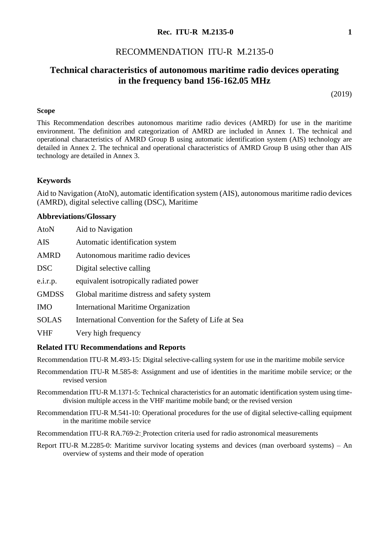#### **Rec. ITU-R M.2135-0 1**

### RECOMMENDATION ITU-R M.2135-0

# **Technical characteristics of autonomous maritime radio devices operating in the frequency band 156-162.05 MHz**

(2019)

#### **Scope**

This Recommendation describes autonomous maritime radio devices (AMRD) for use in the maritime environment. The definition and categorization of AMRD are included in Annex 1. The technical and operational characteristics of AMRD Group B using automatic identification system (AIS) technology are detailed in Annex 2. The technical and operational characteristics of AMRD Group B using other than AIS technology are detailed in Annex 3.

#### **Keywords**

Aid to Navigation (AtoN), automatic identification system (AIS), autonomous maritime radio devices (AMRD), digital selective calling (DSC), Maritime

#### **Abbreviations/Glossary**

| <b>AtoN</b>  | Aid to Navigation                                      |
|--------------|--------------------------------------------------------|
| <b>AIS</b>   | Automatic identification system                        |
| <b>AMRD</b>  | Autonomous maritime radio devices                      |
| <b>DSC</b>   | Digital selective calling                              |
| e.i.r.p.     | equivalent isotropically radiated power                |
| <b>GMDSS</b> | Global maritime distress and safety system             |
| <b>IMO</b>   | International Maritime Organization                    |
| <b>SOLAS</b> | International Convention for the Safety of Life at Sea |
| <b>VHF</b>   | Very high frequency                                    |

#### **Related ITU Recommendations and Reports**

Recommendation [ITU-R M.493-15](http://www.itu.int/rec/R-REC-M.493/en): Digital selective-calling system for use in the maritime mobile service

- Recommendation [ITU-R M.585-8](http://www.itu.int/rec/R-REC-M.585/en): Assignment and use of identities in the maritime mobile service; or the revised version
- Recommendation ITU-R [M.1371-5:](http://www.itu.int/rec/R-REC-M.1375/en) Technical characteristics for an automatic identification system using timedivision multiple access in the VHF maritime mobile band; or the revised version
- Recommendation [ITU-R M.541-10:](https://www.itu.int/rec/R-REC-M.541/en) Operational procedures for the use of digital selective-calling equipment in the maritime mobile service

Recommendation [ITU-R RA.769-](https://www.itu.int/rec/R-REC-RA.769/en)2: Protection criteria used for radio astronomical measurements

Report [ITU-R M.2285-](https://www.itu.int/pub/R-REP-M.2285)0: Maritime survivor locating systems and devices (man overboard systems) – An overview of systems and their mode of operation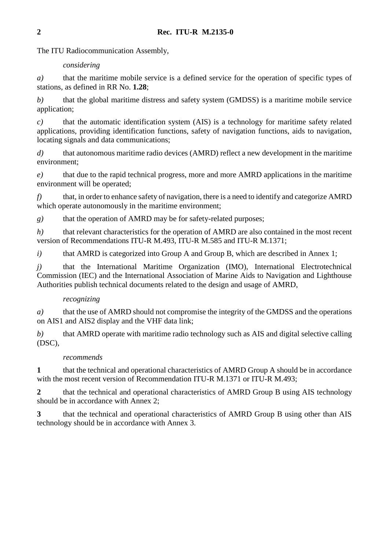The ITU Radiocommunication Assembly,

### *considering*

*a)* that the maritime mobile service is a defined service for the operation of specific types of stations, as defined in RR No. **1.28**;

*b)* that the global maritime distress and safety system (GMDSS) is a maritime mobile service application;

*c)* that the automatic identification system (AIS) is a technology for maritime safety related applications, providing identification functions, safety of navigation functions, aids to navigation, locating signals and data communications;

*d)* that autonomous maritime radio devices (AMRD) reflect a new development in the maritime environment;

*e)* that due to the rapid technical progress, more and more AMRD applications in the maritime environment will be operated;

*f)* that, in order to enhance safety of navigation, there is a need to identify and categorize AMRD which operate autonomously in the maritime environment;

*g)* that the operation of AMRD may be for safety-related purposes;

*h*) that relevant characteristics for the operation of AMRD are also contained in the most recent version of Recommendations ITU-R M.493, ITU-R M.585 and ITU-R M.1371;

*i*) that AMRD is categorized into Group A and Group B, which are described in Annex 1;

*j)* that the International Maritime Organization (IMO), International Electrotechnical Commission (IEC) and the International Association of Marine Aids to Navigation and Lighthouse Authorities publish technical documents related to the design and usage of AMRD,

## *recognizing*

*a)* that the use of AMRD should not compromise the integrity of the GMDSS and the operations on AIS1 and AIS2 display and the VHF data link;

*b)* that AMRD operate with maritime radio technology such as AIS and digital selective calling (DSC),

## *recommends*

1 that the technical and operational characteristics of AMRD Group A should be in accordance with the most recent version of Recommendation ITU-R M.1371 or ITU-R M.493;

**2** that the technical and operational characteristics of AMRD Group B using AIS technology should be in accordance with Annex 2;

**3** that the technical and operational characteristics of AMRD Group B using other than AIS technology should be in accordance with Annex 3.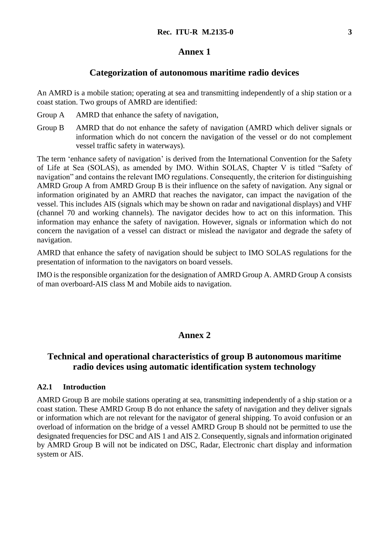### **Annex 1**

#### **Categorization of autonomous maritime radio devices**

An AMRD is a mobile station; operating at sea and transmitting independently of a ship station or a coast station. Two groups of AMRD are identified:

- Group A AMRD that enhance the safety of navigation,
- Group B AMRD that do not enhance the safety of navigation (AMRD which deliver signals or information which do not concern the navigation of the vessel or do not complement vessel traffic safety in waterways).

The term 'enhance safety of navigation' is derived from the International Convention for the Safety of Life at Sea (SOLAS), as amended by IMO. Within SOLAS, Chapter V is titled "Safety of navigation" and contains the relevant IMO regulations. Consequently, the criterion for distinguishing AMRD Group A from AMRD Group B is their influence on the safety of navigation. Any signal or information originated by an AMRD that reaches the navigator, can impact the navigation of the vessel. This includes AIS (signals which may be shown on radar and navigational displays) and VHF (channel 70 and working channels). The navigator decides how to act on this information. This information may enhance the safety of navigation. However, signals or information which do not concern the navigation of a vessel can distract or mislead the navigator and degrade the safety of navigation.

AMRD that enhance the safety of navigation should be subject to IMO SOLAS regulations for the presentation of information to the navigators on board vessels.

IMO is the responsible organization for the designation of AMRD Group A. AMRD Group A consists of man overboard-AIS class M and Mobile aids to navigation.

## **Annex 2**

# **Technical and operational characteristics of group B autonomous maritime radio devices using automatic identification system technology**

#### **A2.1 Introduction**

AMRD Group B are mobile stations operating at sea, transmitting independently of a ship station or a coast station. These AMRD Group B do not enhance the safety of navigation and they deliver signals or information which are not relevant for the navigator of general shipping. To avoid confusion or an overload of information on the bridge of a vessel AMRD Group B should not be permitted to use the designated frequencies for DSC and AIS 1 and AIS 2. Consequently, signals and information originated by AMRD Group B will not be indicated on DSC, Radar, Electronic chart display and information system or AIS.